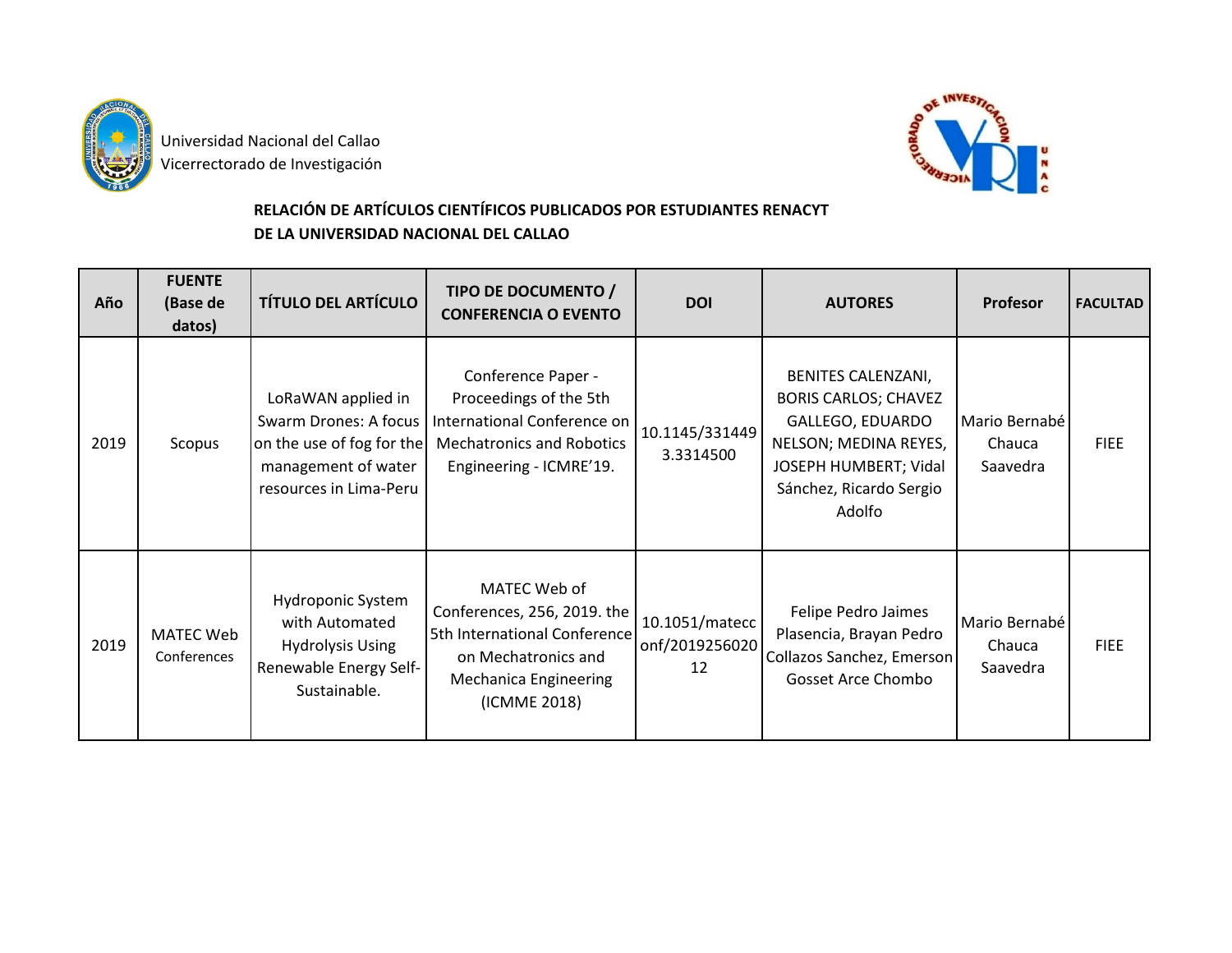

 Universidad Nacional del Callao **Vicerrectorado de Investigación** 



## **RELACIÓN DE ARTÍCULOS CIENTÍFICOS PUBLICADOS POR ESTUDIANTES RENACYT DE LA UNIVERSIDAD NACIONAL DEL CALLAO**

| Año  | <b>FUENTE</b><br>(Base de<br>datos) | <b>TÍTULO DEL ARTÍCULO</b>                                                                                                | TIPO DE DOCUMENTO /<br><b>CONFERENCIA O EVENTO</b>                                                                                                 | <b>DOI</b>                             | <b>AUTORES</b>                                                                                                                                               | <b>Profesor</b>                     | <b>FACULTAD</b> |
|------|-------------------------------------|---------------------------------------------------------------------------------------------------------------------------|----------------------------------------------------------------------------------------------------------------------------------------------------|----------------------------------------|--------------------------------------------------------------------------------------------------------------------------------------------------------------|-------------------------------------|-----------------|
| 2019 | Scopus                              | LoRaWAN applied in<br>Swarm Drones: A focus<br>on the use of fog for the<br>management of water<br>resources in Lima-Peru | Conference Paper -<br>Proceedings of the 5th<br>International Conference on<br><b>Mechatronics and Robotics</b><br>Engineering - ICMRE'19.         | 10.1145/331449<br>3.3314500            | BENITES CALENZANI,<br><b>BORIS CARLOS; CHAVEZ</b><br>GALLEGO, EDUARDO<br>NELSON; MEDINA REYES,<br>JOSEPH HUMBERT; Vidal<br>Sánchez, Ricardo Sergio<br>Adolfo | Mario Bernabé<br>Chauca<br>Saavedra | <b>FIEE</b>     |
| 2019 | <b>MATEC Web</b><br>Conferences     | Hydroponic System<br>with Automated<br><b>Hydrolysis Using</b><br>Renewable Energy Self-<br>Sustainable.                  | MATEC Web of<br>Conferences, 256, 2019. the<br>5th International Conference<br>on Mechatronics and<br><b>Mechanica Engineering</b><br>(ICMME 2018) | 10.1051/matecc<br>onf/2019256020<br>12 | Felipe Pedro Jaimes<br>Plasencia, Brayan Pedro<br>Collazos Sanchez, Emerson<br><b>Gosset Arce Chombo</b>                                                     | Mario Bernabé<br>Chauca<br>Saavedra | <b>FIEE</b>     |